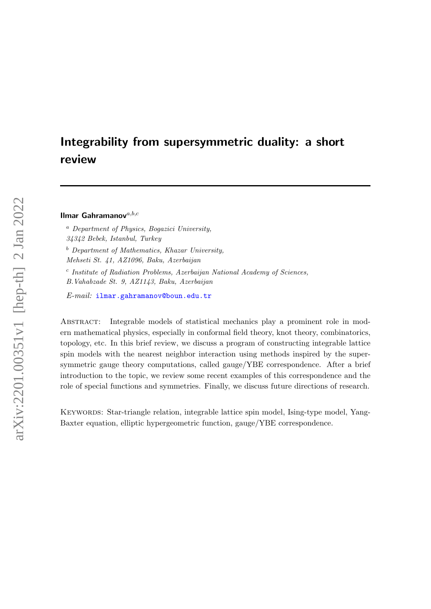# <span id="page-0-0"></span>Integrability from supersymmetric duality: a short review

Ilmar Gahramanov $a,b,c$ 

<sup>a</sup> Department of Physics, Bogazici University,

34342 Bebek, Istanbul, Turkey

 $b$  Department of Mathematics, Khazar University,

Mehseti St. 41, AZ1096, Baku, Azerbaijan

c Institute of Radiation Problems, Azerbaijan National Academy of Sciences, B.Vahabzade St. 9, AZ1143, Baku, Azerbaijan

E-mail: [ilmar.gahramanov@boun.edu.tr](mailto:ilmar.gahramanov@boun.edu.tr)

Abstract: Integrable models of statistical mechanics play a prominent role in modern mathematical physics, especially in conformal field theory, knot theory, combinatorics, topology, etc. In this brief review, we discuss a program of constructing integrable lattice spin models with the nearest neighbor interaction using methods inspired by the supersymmetric gauge theory computations, called gauge/YBE correspondence. After a brief introduction to the topic, we review some recent examples of this correspondence and the role of special functions and symmetries. Finally, we discuss future directions of research.

Keywords: Star-triangle relation, integrable lattice spin model, Ising-type model, Yang-Baxter equation, elliptic hypergeometric function, gauge/YBE correspondence.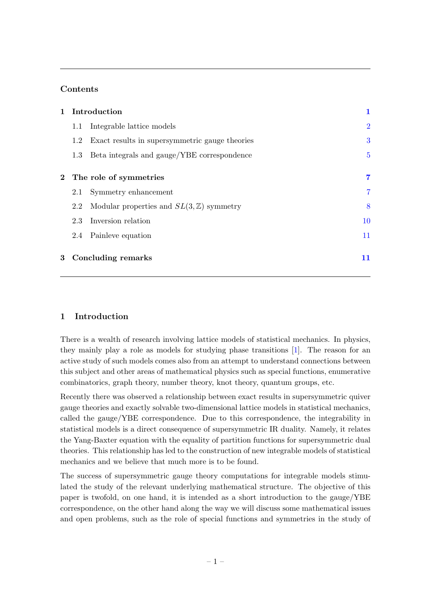# Contents

|              |                        | 1 Introduction                                     | 1              |
|--------------|------------------------|----------------------------------------------------|----------------|
|              | 1.1                    | Integrable lattice models                          | $\overline{2}$ |
|              | 1.2                    | Exact results in supersymmetric gauge theories     | 3              |
|              | 1.3                    | Beta integrals and gauge/YBE correspondence        | $\overline{5}$ |
| $\mathbf{2}$ |                        |                                                    | $\overline{7}$ |
|              | The role of symmetries |                                                    |                |
|              | 2.1                    | Symmetry enhancement                               | $\overline{7}$ |
|              | 2.2                    | Modular properties and $SL(3,\mathbb{Z})$ symmetry | 8              |
|              | 2.3                    | Inversion relation                                 | 10             |
|              |                        | 2.4 Painleve equation                              | 11             |
| 3            |                        | Concluding remarks                                 | 11             |

# <span id="page-1-0"></span>1 Introduction

There is a wealth of research involving lattice models of statistical mechanics. In physics, they mainly play a role as models for studying phase transitions [\[1\]](#page-12-0). The reason for an active study of such models comes also from an attempt to understand connections between this subject and other areas of mathematical physics such as special functions, enumerative combinatorics, graph theory, number theory, knot theory, quantum groups, etc.

Recently there was observed a relationship between exact results in supersymmetric quiver gauge theories and exactly solvable two-dimensional lattice models in statistical mechanics, called the gauge/YBE correspondence. Due to this correspondence, the integrability in statistical models is a direct consequence of supersymmetric IR duality. Namely, it relates the Yang-Baxter equation with the equality of partition functions for supersymmetric dual theories. This relationship has led to the construction of new integrable models of statistical mechanics and we believe that much more is to be found.

The success of supersymmetric gauge theory computations for integrable models stimulated the study of the relevant underlying mathematical structure. The objective of this paper is twofold, on one hand, it is intended as a short introduction to the gauge/YBE correspondence, on the other hand along the way we will discuss some mathematical issues and open problems, such as the role of special functions and symmetries in the study of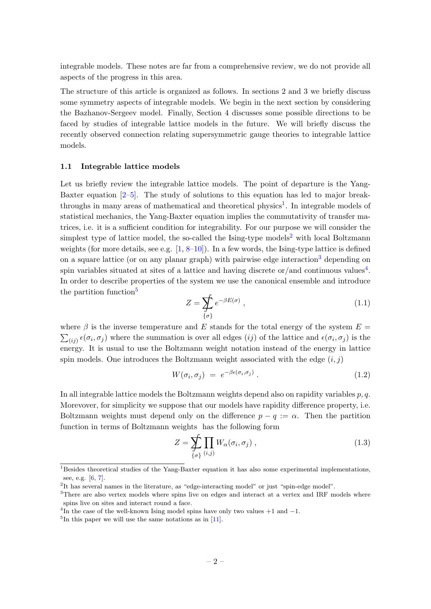integrable models. These notes are far from a comprehensive review, we do not provide all aspects of the progress in this area.

The structure of this article is organized as follows. In sections 2 and 3 we briefly discuss some symmetry aspects of integrable models. We begin in the next section by considering the Bazhanov-Sergeev model. Finally, Section 4 discusses some possible directions to be faced by studies of integrable lattice models in the future. We will briefly discuss the recently observed connection relating supersymmetric gauge theories to integrable lattice models.

#### <span id="page-2-0"></span>1.1 Integrable lattice models

Let us briefly review the integrable lattice models. The point of departure is the Yang-Baxter equation [\[2–](#page-12-1)[5\]](#page-12-2). The study of solutions to this equation has led to major break-throughs in many areas of mathematical and theoretical physics<sup>[1](#page-0-0)</sup>. In integrable models of statistical mechanics, the Yang-Baxter equation implies the commutativity of transfer matrices, i.e. it is a sufficient condition for integrability. For our purpose we will consider the simplest type of lattice model, the so-called the Ising-type models<sup>[2](#page-0-0)</sup> with local Boltzmann weights (for more details, see e.g. [\[1,](#page-12-0) [8–](#page-13-0)[10\]](#page-13-1)). In a few words, the Ising-type lattice is defined on a square lattice (or on any planar graph) with pairwise edge interaction<sup>[3](#page-0-0)</sup> depending on spin variables situated at sites of a lattice and having discrete or/and continuous values<sup>[4](#page-0-0)</sup>. In order to describe properties of the system we use the canonical ensemble and introduce the partition function<sup>[5](#page-0-0)</sup>

$$
Z = \sum_{\{\sigma\}} e^{-\beta E(\sigma)}, \tag{1.1}
$$

where  $\beta$  is the inverse temperature and E stands for the total energy of the system  $E =$  $\sum_{(ij)} \epsilon(\sigma_i, \sigma_j)$  where the summation is over all edges  $(ij)$  of the lattice and  $\epsilon(\sigma_i, \sigma_j)$  is the energy. It is usual to use the Boltzmann weight notation instead of the energy in lattice spin models. One introduces the Boltzmann weight associated with the edge  $(i, j)$ 

$$
W(\sigma_i, \sigma_j) = e^{-\beta \epsilon(\sigma_i, \sigma_j)}.
$$
\n(1.2)

In all integrable lattice models the Boltzmann weights depend also on rapidity variables  $p, q$ . Morevover, for simplicity we suppose that our models have rapidity difference property, i.e. Boltzmann weights must depend only on the difference  $p - q := \alpha$ . Then the partition function in terms of Boltzmann weights has the following form

$$
Z = \sum_{\{\sigma\}} \prod_{(i,j)} W_{\alpha}(\sigma_i, \sigma_j) , \qquad (1.3)
$$

<sup>&</sup>lt;sup>1</sup>Besides theoretical studies of the Yang-Baxter equation it has also some experimental implementations, see, e.g. [\[6,](#page-12-3) [7\]](#page-13-2).

<sup>&</sup>lt;sup>2</sup>It has several names in the literature, as "edge-interacting model" or just "spin-edge model".

<sup>&</sup>lt;sup>3</sup>There are also vertex models where spins live on edges and interact at a vertex and IRF models where spins live on sites and interact round a face.

<sup>&</sup>lt;sup>4</sup>In the case of the well-known Ising model spins have only two values  $+1$  and  $-1$ .

 ${}^{5}$ In this paper we will use the same notations as in  $[11]$ .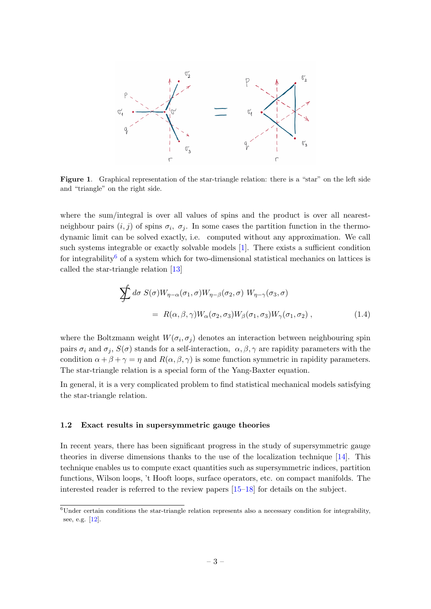

Figure 1. Graphical representation of the star-triangle relation: there is a "star" on the left side and "triangle" on the right side.

where the sum/integral is over all values of spins and the product is over all nearestneighbour pairs  $(i, j)$  of spins  $\sigma_i$ ,  $\sigma_j$ . In some cases the partition function in the thermodynamic limit can be solved exactly, i.e. computed without any approximation. We call such systems integrable or exactly solvable models [\[1\]](#page-12-0). There exists a sufficient condition for integrability<sup>[6](#page-0-0)</sup> of a system which for two-dimensional statistical mechanics on lattices is called the star-triangle relation [\[13\]](#page-13-4)

$$
\sum d\sigma S(\sigma)W_{\eta-\alpha}(\sigma_1,\sigma)W_{\eta-\beta}(\sigma_2,\sigma) W_{\eta-\gamma}(\sigma_3,\sigma)
$$
  
=  $R(\alpha,\beta,\gamma)W_{\alpha}(\sigma_2,\sigma_3)W_{\beta}(\sigma_1,\sigma_3)W_{\gamma}(\sigma_1,\sigma_2)$ , (1.4)

where the Boltzmann weight  $W(\sigma_i, \sigma_j)$  denotes an interaction between neighbouring spin pairs  $\sigma_i$  and  $\sigma_j$ ,  $S(\sigma)$  stands for a self-interaction,  $\alpha, \beta, \gamma$  are rapidity parameters with the condition  $\alpha + \beta + \gamma = \eta$  and  $R(\alpha, \beta, \gamma)$  is some function symmetric in rapidity parameters. The star-triangle relation is a special form of the Yang-Baxter equation.

In general, it is a very complicated problem to find statistical mechanical models satisfying the star-triangle relation.

#### <span id="page-3-0"></span>1.2 Exact results in supersymmetric gauge theories

In recent years, there has been significant progress in the study of supersymmetric gauge theories in diverse dimensions thanks to the use of the localization technique [\[14\]](#page-13-5). This technique enables us to compute exact quantities such as supersymmetric indices, partition functions, Wilson loops, 't Hooft loops, surface operators, etc. on compact manifolds. The interested reader is referred to the review papers [\[15–](#page-13-6)[18\]](#page-13-7) for details on the subject.

<sup>6</sup>Under certain conditions the star-triangle relation represents also a necessary condition for integrability, see, e.g. [\[12\]](#page-13-8).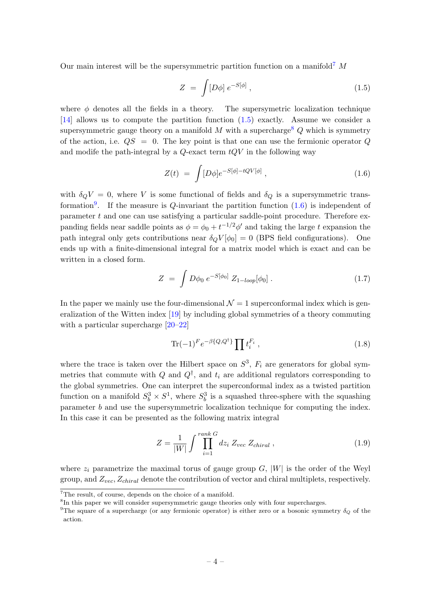Our main interest will be the supersymmetric partition function on a manifold<sup>[7](#page-0-0)</sup>  $M$ 

<span id="page-4-0"></span>
$$
Z = \int [D\phi] e^{-S[\phi]}, \qquad (1.5)
$$

where  $\phi$  denotes all the fields in a theory. The supersymetric localization technique [\[14\]](#page-13-5) allows us to compute the partition function [\(1.5\)](#page-4-0) exactly. Assume we consider a supersymmetric gauge theory on a manifold M with a supercharge  $Q$  which is symmetry of the action, i.e.  $QS = 0$ . The key point is that one can use the fermionic operator Q and modife the path-integral by a  $Q$ -exact term  $tQV$  in the following way

<span id="page-4-1"></span>
$$
Z(t) = \int [D\phi]e^{-S[\phi] - tQV[\phi]}, \qquad (1.6)
$$

with  $\delta_Q V = 0$ , where V is some functional of fields and  $\delta_Q$  is a supersymmetric trans-formation<sup>[9](#page-0-0)</sup>. If the measure is  $Q$ -invariant the partition function  $(1.6)$  is independent of parameter  $t$  and one can use satisfying a particular saddle-point procedure. Therefore expanding fields near saddle points as  $\phi = \phi_0 + t^{-1/2} \phi'$  and taking the large t expansion the path integral only gets contributions near  $\delta_Q V[\phi_0] = 0$  (BPS field configurations). One ends up with a finite-dimensional integral for a matrix model which is exact and can be written in a closed form.

$$
Z = \int D\phi_0 \, e^{-S[\phi_0]} \, Z_{1-loop}[\phi_0] \,. \tag{1.7}
$$

In the paper we mainly use the four-dimensional  $\mathcal{N} = 1$  superconformal index which is generalization of the Witten index [\[19\]](#page-13-9) by including global symmetries of a theory commuting with a particular supercharge  $[20-22]$  $[20-22]$ 

$$
\text{Tr}(-1)^F e^{-\beta \{Q, Q^\dagger\}} \prod t_i^{F_i}, \qquad (1.8)
$$

where the trace is taken over the Hilbert space on  $S^3$ ,  $F_i$  are generators for global symmetries that commute with  $Q$  and  $Q^{\dagger}$ , and  $t_i$  are additional regulators corresponding to the global symmetries. One can interpret the superconformal index as a twisted partition function on a manifold  $S_b^3 \times S^1$ , where  $S_b^3$  is a squashed three-sphere with the squashing parameter b and use the supersymmetric localization technique for computing the index. In this case it can be presented as the following matrix integral

$$
Z = \frac{1}{|W|} \int \prod_{i=1}^{rank\ G} dz_i \ Z_{vec} \ Z_{chiral} \ , \qquad (1.9)
$$

where  $z_i$  parametrize the maximal torus of gauge group  $G$ ,  $|W|$  is the order of the Weyl group, and  $Z_{vec}$ ,  $Z_{chiral}$  denote the contribution of vector and chiral multiplets, respectively.

<sup>7</sup>The result, of course, depends on the choice of a manifold.

<sup>&</sup>lt;sup>8</sup>In this paper we will consider supersymmetric gauge theories only with four supercharges.

<sup>&</sup>lt;sup>9</sup>The square of a supercharge (or any fermionic operator) is either zero or a bosonic symmetry  $\delta_Q$  of the action.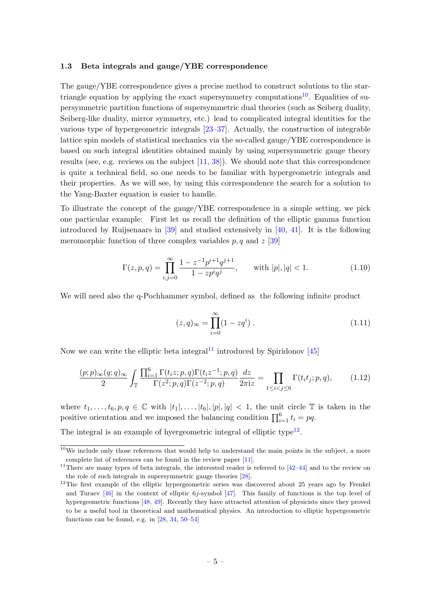#### <span id="page-5-0"></span>1.3 Beta integrals and gauge/YBE correspondence

The gauge/YBE correspondence gives a precise method to construct solutions to the star-triangle equation by applying the exact supersymmetry computations<sup>[10](#page-0-0)</sup>. Equalities of supersymmetric partition functions of supersymmetric dual theories (such as Seiberg duality, Seiberg-like duality, mirror symmetry, etc.) lead to complicated integral identities for the various type of hypergeometric integrals [\[23](#page-13-12)[–37\]](#page-14-0). Actually, the construction of integrable lattice spin models of statistical mechanics via the so-called gauge/YBE correspondence is based on such integral identities obtained mainly by using supersymmetric gauge theory results (see, e.g. reviews on the subject  $[11, 38]$  $[11, 38]$ ). We should note that this correspondence is quite a technical field, so one needs to be familiar with hypergeometric integrals and their properties. As we will see, by using this correspondence the search for a solution to the Yang-Baxter equation is easier to handle.

To illustrate the concept of the gauge/YBE correspondence in a simple setting, we pick one particular example: First let us recall the definition of the elliptic gamma function introduced by Ruijsenaars in [\[39\]](#page-14-2) and studied extensively in [\[40,](#page-14-3) [41\]](#page-14-4). It is the following meromorphic function of three complex variables  $p, q$  and  $z$  [\[39\]](#page-14-2)

$$
\Gamma(z, p, q) = \prod_{i,j=0}^{\infty} \frac{1 - z^{-1} p^{i+1} q^{j+1}}{1 - z p^i q^j}, \quad \text{with } |p|, |q| < 1. \tag{1.10}
$$

We will need also the q-Pochhammer symbol, defined as the following infinite product

$$
(z, q)_{\infty} = \prod_{i=0}^{\infty} (1 - zq^{i}).
$$
\n(1.11)

Now we can write the elliptic beta integral<sup>[11](#page-0-0)</sup> introduced by Spiridonov [\[45\]](#page-15-0)

<span id="page-5-1"></span>
$$
\frac{(p;p)_{\infty}(q;q)_{\infty}}{2} \int_{\mathbb{T}} \frac{\prod_{i=1}^{6} \Gamma(t_i z; p, q) \Gamma(t_i z^{-1}; p, q)}{\Gamma(z^2; p, q) \Gamma(z^{-2}; p, q)} \frac{dz}{2\pi i z} = \prod_{1 \le i < j \le 6} \Gamma(t_i t_j; p, q),\tag{1.12}
$$

where  $t_1, \ldots, t_6, p, q \in \mathbb{C}$  with  $|t_1|, \ldots, |t_6|, |p|, |q| < 1$ , the unit circle  $\mathbb{T}$  is taken in the positive orientation and we imposed the balancing condition  $\prod_{i=1}^{6} t_i = pq$ .

The integral is an example of hyergeometric integral of elliptic type<sup>[12](#page-0-0)</sup>.

 $10$ We include only those references that would help to understand the main points in the subject, a more complete list of references can be found in the review paper [\[11\]](#page-13-3).

<sup>&</sup>lt;sup>11</sup>There are many types of beta integrals, the interested reader is referred to  $[42-44]$  $[42-44]$  and to the review on the role of such integrals in supersymmetric gauge theories [\[28\]](#page-14-6).

<sup>&</sup>lt;sup>12</sup>The first example of the elliptic hypergeometric series was discovered about 25 years ago by Frenkel and Turaev [\[46\]](#page-15-2) in the context of elliptic 6j-symbol [\[47\]](#page-15-3). This family of functions is the top level of hypergeometric functions [\[48,](#page-15-4) [49\]](#page-15-5). Recently they have attracted attention of physicists since they proved to be a useful tool in theoretical and mathematical physics. An introduction to elliptic hypergeometric functions can be found, e.g. in  $[28, 34, 50-54]$  $[28, 34, 50-54]$  $[28, 34, 50-54]$  $[28, 34, 50-54]$  $[28, 34, 50-54]$  $[28, 34, 50-54]$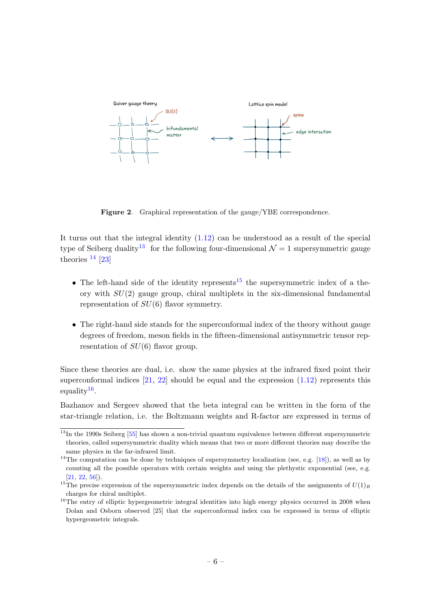

Figure 2. Graphical representation of the gauge/YBE correspondence.

It turns out that the integral identity  $(1.12)$  can be understood as a result of the special type of Seiberg duality<sup>[13](#page-0-0)</sup> for the following four-dimensional  $\mathcal{N} = 1$  supersymmetric gauge theories  $14$  [\[23\]](#page-13-12)

- The left-hand side of the identity represents<sup>[15](#page-0-0)</sup> the supersymmetric index of a theory with  $SU(2)$  gauge group, chiral multiplets in the six-dimensional fundamental representation of  $SU(6)$  flavor symmetry.
- The right-hand side stands for the superconformal index of the theory without gauge degrees of freedom, meson fields in the fifteen-dimensional antisymmetric tensor representation of  $SU(6)$  flavor group.

Since these theories are dual, i.e. show the same physics at the infrared fixed point their superconformal indices  $[21, 22]$  $[21, 22]$  should be equal and the expression  $(1.12)$  represents this equality<sup>[16](#page-0-0)</sup>.

Bazhanov and Sergeev showed that the beta integral can be written in the form of the star-triangle relation, i.e. the Boltzmann weights and R-factor are expressed in terms of

 $13$ In the 1990s Seiberg [\[55\]](#page-15-8) has shown a non-trivial quantum equivalence between different supersymmetric theories, called supersymmetric duality which means that two or more different theories may describe the same physics in the far-infrared limit.

<sup>&</sup>lt;sup>14</sup>The computation can be done by techniques of supersymmetry localization (see, e.g. [\[18\]](#page-13-7)), as well as by counting all the possible operators with certain weights and using the plethystic exponential (see, e.g.  $[21, 22, 56]$  $[21, 22, 56]$  $[21, 22, 56]$  $[21, 22, 56]$  $[21, 22, 56]$ .

<sup>&</sup>lt;sup>15</sup>The precise expression of the supersymmetric index depends on the details of the assignments of  $U(1)_R$ charges for chiral multiplet.

<sup>&</sup>lt;sup>16</sup>The entry of elliptic hypergeometric integral identities into high energy physics occurred in 2008 when Dolan and Osborn observed [25] that the superconformal index can be expressed in terms of elliptic hypergeometric integrals.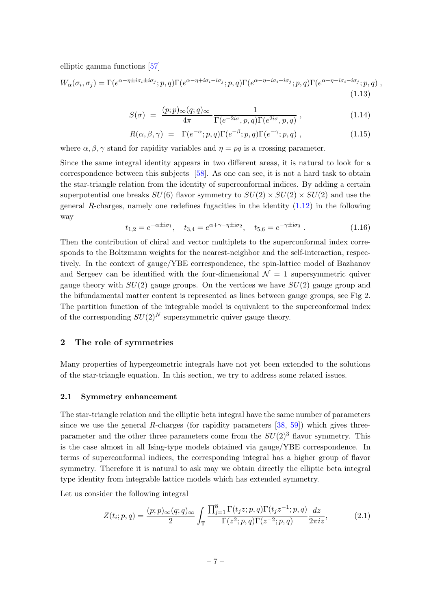elliptic gamma functions [\[57\]](#page-15-10)

$$
W_{\alpha}(\sigma_i, \sigma_j) = \Gamma(e^{\alpha - \eta \pm i\sigma_i \pm i\sigma_j}; p, q)\Gamma(e^{\alpha - \eta + i\sigma_i - i\sigma_j}; p, q)\Gamma(e^{\alpha - \eta - i\sigma_i + i\sigma_j}; p, q)\Gamma(e^{\alpha - \eta - i\sigma_i - i\sigma_j}; p, q)
$$
\n(1.13)

$$
S(\sigma) = \frac{(p;p)_{\infty}(q;q)_{\infty}}{4\pi} \frac{1}{\Gamma(e^{-2i\sigma}, p, q)\Gamma(e^{2i\sigma}, p, q)},
$$
\n(1.14)

$$
R(\alpha, \beta, \gamma) = \Gamma(e^{-\alpha}; p, q) \Gamma(e^{-\beta}; p, q) \Gamma(e^{-\gamma}; p, q) , \qquad (1.15)
$$

where  $\alpha, \beta, \gamma$  stand for rapidity variables and  $\eta = pq$  is a crossing parameter.

Since the same integral identity appears in two different areas, it is natural to look for a correspondence between this subjects [\[58\]](#page-15-11). As one can see, it is not a hard task to obtain the star-triangle relation from the identity of superconformal indices. By adding a certain superpotential one breaks  $SU(6)$  flavor symmetry to  $SU(2) \times SU(2) \times SU(2)$  and use the general R-charges, namely one redefines fugacities in the identity  $(1.12)$  in the following way

$$
t_{1,2} = e^{-\alpha \pm \mathbf{i}\sigma_1}, \quad t_{3,4} = e^{\alpha + \gamma - \eta \pm \mathbf{i}\sigma_2}, \quad t_{5,6} = e^{-\gamma \pm \mathbf{i}\sigma_3}.
$$
 (1.16)

Then the contribution of chiral and vector multiplets to the superconformal index corresponds to the Boltzmann weights for the nearest-neighbor and the self-interaction, respectively. In the context of gauge/YBE correspondence, the spin-lattice model of Bazhanov and Sergeev can be identified with the four-dimensional  $\mathcal{N} = 1$  supersymmetric quiver gauge theory with  $SU(2)$  gauge groups. On the vertices we have  $SU(2)$  gauge group and the bifundamental matter content is represented as lines between gauge groups, see Fig 2. The partition function of the integrable model is equivalent to the superconformal index of the corresponding  $SU(2)^N$  supersymmetric quiver gauge theory.

## <span id="page-7-0"></span>2 The role of symmetries

Many properties of hypergeometric integrals have not yet been extended to the solutions of the star-triangle equation. In this section, we try to address some related issues.

#### <span id="page-7-1"></span>2.1 Symmetry enhancement

The star-triangle relation and the elliptic beta integral have the same number of parameters since we use the general R-charges (for rapidity parameters  $[38, 59]$  $[38, 59]$ ) which gives threeparameter and the other three parameters come from the  $SU(2)^3$  flavor symmetry. This is the case almost in all Ising-type models obtained via gauge/YBE correspondence. In terms of superconformal indices, the corresponding integral has a higher group of flavor symmetry. Therefore it is natural to ask may we obtain directly the elliptic beta integral type identity from integrable lattice models which has extended symmetry.

Let us consider the following integral

<span id="page-7-2"></span>
$$
Z(t_i; p, q) = \frac{(p; p)_{\infty}(q; q)_{\infty}}{2} \int_{\mathbb{T}} \frac{\prod_{j=1}^8 \Gamma(t_j z; p, q) \Gamma(t_j z^{-1}; p, q)}{\Gamma(z^2; p, q) \Gamma(z^{-2}; p, q)} \frac{dz}{2\pi i z},
$$
(2.1)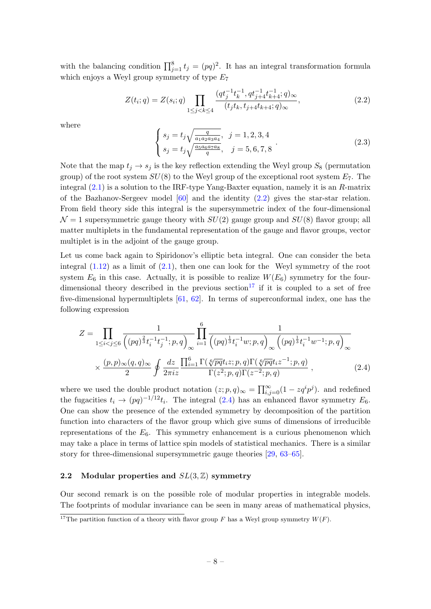with the balancing condition  $\prod_{j=1}^{8} t_j = (pq)^2$ . It has an integral transformation formula which enjoys a Weyl group symmetry of type  $E_7$ 

<span id="page-8-1"></span>
$$
Z(t_i;q) = Z(s_i;q) \prod_{1 \le j < k \le 4} \frac{(qt_j^{-1}t_k^{-1},qt_{j+4}^{-1}t_{k+4}^{-1};q)_{\infty}}{(t_jt_k,t_{j+4}t_{k+4};q)_{\infty}},\tag{2.2}
$$

where

$$
\begin{cases}\ns_j = t_j \sqrt{\frac{q}{a_1 a_2 a_3 a_4}}, & j = 1, 2, 3, 4 \\
s_j = t_j \sqrt{\frac{a_5 a_6 a_7 a_8}{q}}, & j = 5, 6, 7, 8\n\end{cases} (2.3)
$$

Note that the map  $t_j \rightarrow s_j$  is the key reflection extending the Weyl group  $S_8$  (permutation group) of the root system  $SU(8)$  to the Weyl group of the exceptional root system  $E_7$ . The integral  $(2.1)$  is a solution to the IRF-type Yang-Baxter equation, namely it is an R-matrix of the Bazhanov-Sergeev model  $[60]$  and the identity  $(2.2)$  gives the star-star relation. From field theory side this integral is the supersymmetric index of the four-dimensional  $\mathcal{N}=1$  supersymmetric gauge theory with  $SU(2)$  gauge group and  $SU(8)$  flavor group; all matter multiplets in the fundamental representation of the gauge and flavor groups, vector multiplet is in the adjoint of the gauge group.

Let us come back again to Spiridonov's elliptic beta integral. One can consider the beta integral  $(1.12)$  as a limit of  $(2.1)$ , then one can look for the Weyl symmetry of the root system  $E_6$  in this case. Actually, it is possible to realize  $W(E_6)$  symmetry for the four-dimensional theory described in the previous section<sup>[17](#page-0-0)</sup> if it is coupled to a set of free five-dimensional hypermultiplets  $[61, 62]$  $[61, 62]$ . In terms of superconformal index, one has the following expression

<span id="page-8-2"></span>
$$
Z = \prod_{1 \leq i < j \leq 6} \frac{1}{\left( (pq)^{\frac{2}{3}} t_i^{-1} t_j^{-1}; p, q \right)_{\infty}} \prod_{i=1}^{6} \frac{1}{\left( (pq)^{\frac{1}{3}} t_i^{-1} w; p, q \right)_{\infty} \left( (pq)^{\frac{1}{3}} t_i^{-1} w^{-1}; p, q \right)_{\infty}}
$$
\n
$$
\times \frac{(p, p)_{\infty}(q, q)_{\infty}}{2} \oint \frac{dz}{2\pi i z} \frac{\prod_{i=1}^{6} \Gamma(\sqrt[6]{pq} t_i z; p, q) \Gamma(\sqrt[6]{pq} t_i z^{-1}; p, q)}{\Gamma(z^2; p, q) \Gamma(z^{-2}; p, q)}, \qquad (2.4)
$$

where we used the double product notation  $(z; p, q)_{\infty} = \prod_{i,j=0}^{\infty} (1 - z q^i p^j)$ . and redefined the fugacities  $t_i \rightarrow (pq)^{-1/12} t_i$ . The integral [\(2.4\)](#page-8-2) has an enhanced flavor symmetry  $E_6$ . One can show the presence of the extended symmetry by decomposition of the partition function into characters of the flavor group which give sums of dimensions of irreducible representations of the  $E_6$ . This symmetry enhancement is a curious phenomenon which may take a place in terms of lattice spin models of statistical mechanics. There is a similar story for three-dimensional supersymmetric gauge theories [\[29,](#page-14-8) [63–](#page-15-16)[65\]](#page-16-0).

## <span id="page-8-0"></span>2.2 Modular properties and  $SL(3, \mathbb{Z})$  symmetry

Our second remark is on the possible role of modular properties in integrable models. The footprints of modular invariance can be seen in many areas of mathematical physics,

<sup>&</sup>lt;sup>17</sup>The partition function of a theory with flavor group F has a Weyl group symmetry  $W(F)$ .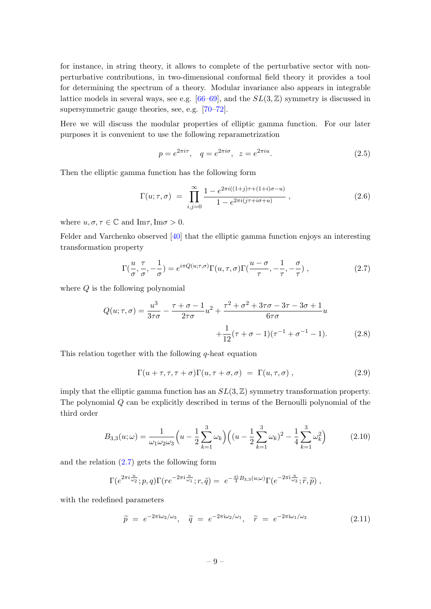for instance, in string theory, it allows to complete of the perturbative sector with nonperturbative contributions, in two-dimensional conformal field theory it provides a tool for determining the spectrum of a theory. Modular invariance also appears in integrable lattice models in several ways, see e.g.  $[66–69]$  $[66–69]$ , and the  $SL(3, \mathbb{Z})$  symmetry is discussed in supersymmetric gauge theories, see, e.g. [\[70–](#page-16-3)[72\]](#page-16-4).

Here we will discuss the modular properties of elliptic gamma function. For our later purposes it is convenient to use the following reparametrization

$$
p = e^{2\pi i \tau}
$$
,  $q = e^{2\pi i \sigma}$ ,  $z = e^{2\pi i u}$ . (2.5)

Then the elliptic gamma function has the following form

$$
\Gamma(u; \tau, \sigma) = \prod_{i,j=0}^{\infty} \frac{1 - e^{2\pi i((1+j)\tau + (1+i)\sigma - u)}}{1 - e^{2\pi i(j\tau + i\sigma + u)}},
$$
\n(2.6)

where  $u, \sigma, \tau \in \mathbb{C}$  and  $\text{Im}\tau, \text{Im}\sigma > 0$ .

Felder and Varchenko observed [\[40\]](#page-14-3) that the elliptic gamma function enjoys an interesting transformation property

<span id="page-9-0"></span>
$$
\Gamma(\frac{u}{\sigma}, \frac{\tau}{\sigma}, -\frac{1}{\sigma}) = e^{i\pi Q(u;\tau,\sigma)} \Gamma(u,\tau,\sigma) \Gamma(\frac{u-\sigma}{\tau}, -\frac{1}{\tau}, -\frac{\sigma}{\tau}) ,
$$
\n(2.7)

where  $Q$  is the following polynomial

$$
Q(u; \tau, \sigma) = \frac{u^3}{3\tau\sigma} - \frac{\tau + \sigma - 1}{2\tau\sigma}u^2 + \frac{\tau^2 + \sigma^2 + 3\tau\sigma - 3\tau - 3\sigma + 1}{6\tau\sigma}u + \frac{1}{12}(\tau + \sigma - 1)(\tau^{-1} + \sigma^{-1} - 1).
$$
 (2.8)

This relation together with the following  $q$ -heat equation

$$
\Gamma(u+\tau,\tau,\tau+\sigma)\Gamma(u,\tau+\sigma,\sigma) = \Gamma(u,\tau,\sigma) , \qquad (2.9)
$$

imply that the elliptic gamma function has an  $SL(3, \mathbb{Z})$  symmetry transformation property. The polynomial Q can be explicitly described in terms of the Bernoulli polynomial of the third order

$$
B_{3,3}(u; \omega) = \frac{1}{\omega_1 \omega_2 \omega_3} \left( u - \frac{1}{2} \sum_{k=1}^3 \omega_k \right) \left( (u - \frac{1}{2} \sum_{k=1}^3 \omega_k)^2 - \frac{1}{4} \sum_{k=1}^3 \omega_k^2 \right) \tag{2.10}
$$

and the relation  $(2.7)$  gets the following form

$$
\Gamma(e^{2\pi i \frac{u}{\omega_2}}; p, q)\Gamma(re^{-2\pi i \frac{u}{\omega_1}}; r, \tilde{q}) = e^{-\frac{\pi i}{3}B_{3,3}(u; \omega)}\Gamma(e^{-2\pi i \frac{u}{\omega_3}}; \tilde{r}, \tilde{p}),
$$

with the redefined parameters

$$
\widetilde{p} = e^{-2\pi i \omega_2/\omega_3}, \quad \widetilde{q} = e^{-2\pi i \omega_2/\omega_1}, \quad \widetilde{r} = e^{-2\pi i \omega_1/\omega_3} \tag{2.11}
$$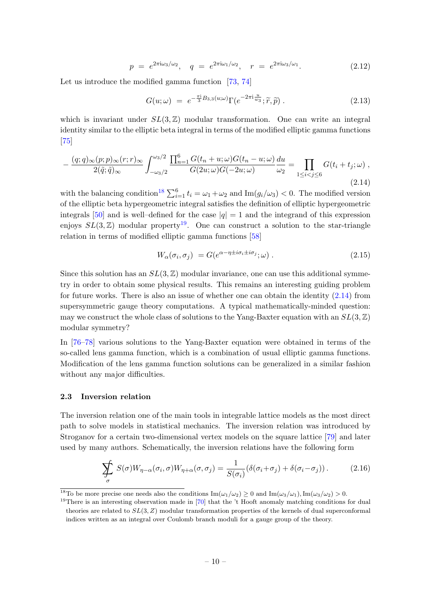$$
p = e^{2\pi i \omega_3/\omega_2}, \quad q = e^{2\pi i \omega_1/\omega_2}, \quad r = e^{2\pi i \omega_3/\omega_1}.
$$
 (2.12)

Let us introduce the modified gamma function [\[73,](#page-16-5) [74\]](#page-16-6)

$$
G(u; \omega) = e^{-\frac{\pi i}{3}B_{3,3}(u; \omega)} \Gamma(e^{-2\pi i \frac{u}{w_3}}; \tilde{r}, \tilde{p}) . \qquad (2.13)
$$

which is invariant under  $SL(3, \mathbb{Z})$  modular transformation. One can write an integral identity similar to the elliptic beta integral in terms of the modified elliptic gamma functions [\[75\]](#page-16-7)

<span id="page-10-1"></span>
$$
-\frac{(q;q)_{\infty}(p;p)_{\infty}(r;r)_{\infty}}{2(\tilde{q};\tilde{q})_{\infty}}\int_{-\omega_3/2}^{\omega_3/2}\frac{\prod_{n=1}^6G(t_n+u;\omega)G(t_n-u;\omega)}{G(2u;\omega)G(-2u;\omega)}\frac{du}{\omega_2}=\prod_{1\leq i
$$

with the balancing condition<sup>[18](#page-0-0)</sup>  $\sum_{i=1}^{6} t_i = \omega_1 + \omega_2$  and  $\text{Im}(g_i/\omega_3) < 0$ . The modified version of the elliptic beta hypergeometric integral satisfies the definition of elliptic hypergeometric integrals [\[50\]](#page-15-6) and is well–defined for the case  $|q| = 1$  and the integrand of this expression enjoys  $SL(3, \mathbb{Z})$  modular property<sup>[19](#page-0-0)</sup>. One can construct a solution to the star-triangle relation in terms of modified elliptic gamma functions [\[58\]](#page-15-11)

$$
W_{\alpha}(\sigma_i, \sigma_j) = G(e^{\alpha - \eta \pm i\sigma_i \pm i\sigma_j}; \omega) \tag{2.15}
$$

Since this solution has an  $SL(3, \mathbb{Z})$  modular invariance, one can use this additional symmetry in order to obtain some physical results. This remains an interesting guiding problem for future works. There is also an issue of whether one can obtain the identity [\(2.14\)](#page-10-1) from supersymmetric gauge theory computations. A typical mathematically-minded question: may we construct the whole class of solutions to the Yang-Baxter equation with an  $SL(3,\mathbb{Z})$ modular symmetry?

In [\[76](#page-16-8)[–78\]](#page-16-9) various solutions to the Yang-Baxter equation were obtained in terms of the so-called lens gamma function, which is a combination of usual elliptic gamma functions. Modification of the lens gamma function solutions can be generalized in a similar fashion without any major difficulties.

#### <span id="page-10-0"></span>2.3 Inversion relation

The inversion relation one of the main tools in integrable lattice models as the most direct path to solve models in statistical mechanics. The inversion relation was introduced by Stroganov for a certain two-dimensional vertex models on the square lattice [\[79\]](#page-16-10) and later used by many authors. Schematically, the inversion relations have the following form

$$
\sum_{\sigma} S(\sigma) W_{\eta-\alpha}(\sigma_i, \sigma) W_{\eta+\alpha}(\sigma, \sigma_j) = \frac{1}{S(\sigma_i)} (\delta(\sigma_i + \sigma_j) + \delta(\sigma_i - \sigma_j)). \tag{2.16}
$$

<sup>&</sup>lt;sup>18</sup>To be more precise one needs also the conditions  $\text{Im}(\omega_1/\omega_2) \ge 0$  and  $\text{Im}(\omega_3/\omega_1)$ ,  $\text{Im}(\omega_3/\omega_2) > 0$ .

<sup>&</sup>lt;sup>19</sup>There is an interesting observation made in  $[70]$  that the 't Hooft anomaly matching conditions for dual theories are related to  $SL(3, Z)$  modular transformation properties of the kernels of dual superconformal indices written as an integral over Coulomb branch moduli for a gauge group of the theory.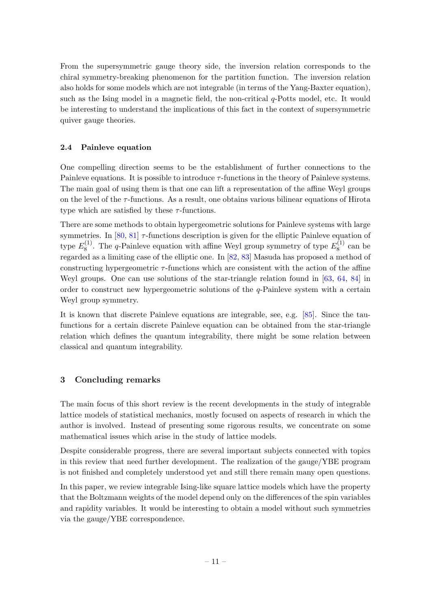From the supersymmetric gauge theory side, the inversion relation corresponds to the chiral symmetry-breaking phenomenon for the partition function. The inversion relation also holds for some models which are not integrable (in terms of the Yang-Baxter equation), such as the Ising model in a magnetic field, the non-critical  $q$ -Potts model, etc. It would be interesting to understand the implications of this fact in the context of supersymmetric quiver gauge theories.

# <span id="page-11-0"></span>2.4 Painleve equation

One compelling direction seems to be the establishment of further connections to the Painleve equations. It is possible to introduce  $\tau$ -functions in the theory of Painleve systems. The main goal of using them is that one can lift a representation of the affine Weyl groups on the level of the  $\tau$ -functions. As a result, one obtains various bilinear equations of Hirota type which are satisfied by these  $\tau$ -functions.

There are some methods to obtain hypergeometric solutions for Painleve systems with large symmetries. In [\[80,](#page-16-11) [81\]](#page-16-12)  $\tau$ -functions description is given for the elliptic Painleve equation of type  $E_8^{(1)}$  $S_8^{(1)}$ . The *q*-Painleve equation with affine Weyl group symmetry of type  $E_8^{(1)}$  $v_8^{(1)}$  can be regarded as a limiting case of the elliptic one. In [\[82,](#page-16-13) [83\]](#page-17-0) Masuda has proposed a method of constructing hypergeometric  $\tau$ -functions which are consistent with the action of the affine Weyl groups. One can use solutions of the star-triangle relation found in [\[63,](#page-15-16) [64,](#page-16-14) [84\]](#page-17-1) in order to construct new hypergeometric solutions of the  $q$ -Painleve system with a certain Weyl group symmetry.

It is known that discrete Painleve equations are integrable, see, e.g. [\[85\]](#page-17-2). Since the taufunctions for a certain discrete Painleve equation can be obtained from the star-triangle relation which defines the quantum integrability, there might be some relation between classical and quantum integrability.

## <span id="page-11-1"></span>3 Concluding remarks

The main focus of this short review is the recent developments in the study of integrable lattice models of statistical mechanics, mostly focused on aspects of research in which the author is involved. Instead of presenting some rigorous results, we concentrate on some mathematical issues which arise in the study of lattice models.

Despite considerable progress, there are several important subjects connected with topics in this review that need further development. The realization of the gauge/YBE program is not finished and completely understood yet and still there remain many open questions.

In this paper, we review integrable Ising-like square lattice models which have the property that the Boltzmann weights of the model depend only on the differences of the spin variables and rapidity variables. It would be interesting to obtain a model without such symmetries via the gauge/YBE correspondence.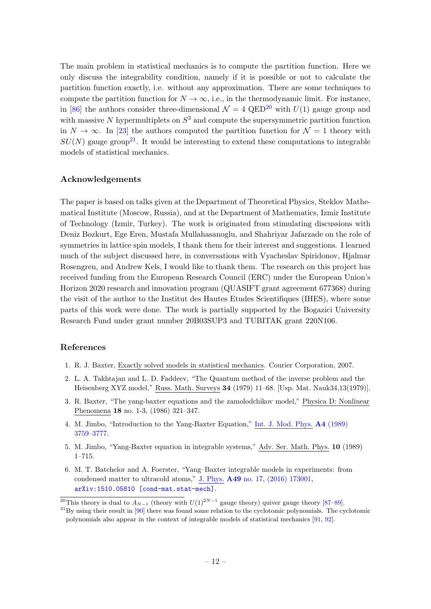The main problem in statistical mechanics is to compute the partition function. Here we only discuss the integrability condition, namely if it is possible or not to calculate the partition function exactly, i.e. without any approximation. There are some techniques to compute the partition function for  $N \to \infty$ , i.e., in the thermodynamic limit. For instance, in [\[86\]](#page-17-3) the authors consider three-dimensional  $\mathcal{N} = 4$  QED<sup>[20](#page-0-0)</sup> with  $U(1)$  gauge group and with massive N hypermultiplets on  $S^3$  and compute the supersymmetric partition function in  $N \to \infty$ . In [\[23\]](#page-13-12) the authors computed the partition function for  $\mathcal{N} = 1$  theory with  $SU(N)$  gauge group<sup>[21](#page-0-0)</sup>. It would be interesting to extend these computations to integrable models of statistical mechanics.

## Acknowledgements

The paper is based on talks given at the Department of Theoretical Physics, Steklov Mathematical Institute (Moscow, Russia), and at the Department of Mathematics, Izmir Institute of Technology (Izmir, Turkey). The work is originated from stimulating discussions with Deniz Bozkurt, Ege Eren, Mustafa Mullahasanoglu, and Shahriyar Jafarzade on the role of symmetries in lattice spin models, I thank them for their interest and suggestions. I learned much of the subject discussed here, in conversations with Vyacheslav Spiridonov, Hjalmar Rosengren, and Andrew Kels, I would like to thank them. The research on this project has received funding from the European Research Council (ERC) under the European Union's Horizon 2020 research and innovation program (QUASIFT grant agreement 677368) during the visit of the author to the Institut des Hautes Etudes Scientifiques (IHES), where some parts of this work were done. The work is partially supported by the Bogazici University Research Fund under grant number 20B03SUP3 and TUBITAK grant 220N106.

## References

- <span id="page-12-0"></span>1. R. J. Baxter, Exactly solved models in statistical mechanics. Courier Corporation, 2007.
- <span id="page-12-1"></span>2. L. A. Takhtajan and L. D. Faddeev, "The Quantum method of the inverse problem and the Heisenberg XYZ model," Russ. Math. Surveys 34 (1979) 11–68. [Usp. Mat. Nauk34,13(1979)].
- 3. R. Baxter, "The yang-baxter equations and the zamolodchikov model," Physica D: Nonlinear Phenomena 18 no. 1-3, (1986) 321–347.
- 4. M. Jimbo, "Introduction to the Yang-Baxter Equation," Int. J. Mod. Phys. A4 [\(1989\)](http://dx.doi.org/10.1142/S0217751X89001503) [3759–3777.](http://dx.doi.org/10.1142/S0217751X89001503)
- <span id="page-12-2"></span>5. M. Jimbo, "Yang-Baxter equation in integrable systems," Adv. Ser. Math. Phys. 10 (1989) 1–715.
- <span id="page-12-3"></span>6. M. T. Batchelor and A. Foerster, "Yang–Baxter integrable models in experiments: from condensed matter to ultracold atoms," J. Phys. A49 [no. 17, \(2016\) 173001,](http://dx.doi.org/10.1088/1751-8113/49/17/173001) [arXiv:1510.05810 \[cond-mat.stat-mech\]](http://arxiv.org/abs/1510.05810).

<sup>&</sup>lt;sup>20</sup>This theory is dual to  $A_{N-1}$  (theory with  $U(1)^{2N-1}$  gauge theory) quiver gauge theory [\[87](#page-17-4)[–89\]](#page-17-5).

 $^{21}$ By using their result in [\[90\]](#page-17-6) there was found some relation to the cyclotomic polynomials. The cyclotomic polynomials also appear in the context of integrable models of statistical mechanics [\[91,](#page-17-7) [92\]](#page-17-8).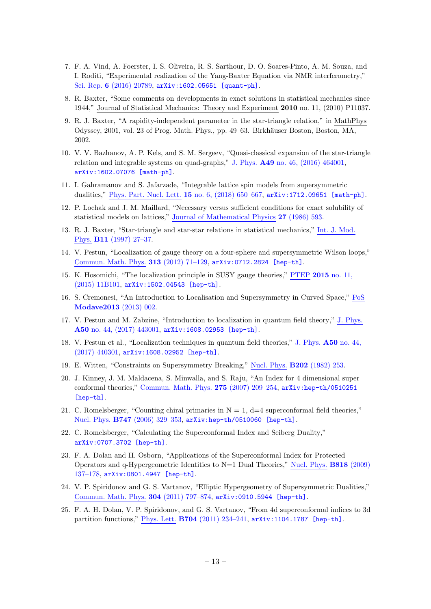- <span id="page-13-2"></span>7. F. A. Vind, A. Foerster, I. S. Oliveira, R. S. Sarthour, D. O. Soares-Pinto, A. M. Souza, and I. Roditi, "Experimental realization of the Yang-Baxter Equation via NMR interferometry," Sci. Rep. 6 [\(2016\) 20789,](http://dx.doi.org/10.1038/srep20789) [arXiv:1602.05651 \[quant-ph\]](http://arxiv.org/abs/1602.05651).
- <span id="page-13-0"></span>8. R. Baxter, "Some comments on developments in exact solutions in statistical mechanics since 1944," Journal of Statistical Mechanics: Theory and Experiment 2010 no. 11, (2010) P11037.
- 9. R. J. Baxter, "A rapidity-independent parameter in the star-triangle relation," in MathPhys Odyssey, 2001, vol. 23 of Prog. Math. Phys., pp. 49–63. Birkhäuser Boston, Boston, MA, 2002.
- <span id="page-13-1"></span>10. V. V. Bazhanov, A. P. Kels, and S. M. Sergeev, "Quasi-classical expansion of the star-triangle relation and integrable systems on quad-graphs," J. Phys. A49 [no. 46, \(2016\) 464001,](http://dx.doi.org/10.1088/1751-8113/49/46/464001) [arXiv:1602.07076 \[math-ph\]](http://arxiv.org/abs/1602.07076).
- <span id="page-13-3"></span>11. I. Gahramanov and S. Jafarzade, "Integrable lattice spin models from supersymmetric dualities," Phys. Part. Nucl. Lett. 15 [no. 6, \(2018\) 650–667,](http://dx.doi.org/10.1134/S1547477118060079) [arXiv:1712.09651 \[math-ph\]](http://arxiv.org/abs/1712.09651).
- <span id="page-13-8"></span>12. P. Lochak and J. M. Maillard, "Necessary versus sufficient conditions for exact solubility of statistical models on lattices," Journal of [Mathematical](http://dx.doi.org/10.1063/1.527401) Physics 27 (1986) 593.
- <span id="page-13-4"></span>13. R. J. Baxter, "Star-triangle and star-star relations in statistical mechanics," Int. J. [Mod.](http://dx.doi.org/10.1142/S0217979297000058) Phys. B11 [\(1997\) 27–37.](http://dx.doi.org/10.1142/S0217979297000058)
- <span id="page-13-5"></span>14. V. Pestun, "Localization of gauge theory on a four-sphere and supersymmetric Wilson loops," Commun. Math. Phys. 313 [\(2012\) 71–129,](http://dx.doi.org/10.1007/s00220-012-1485-0) [arXiv:0712.2824 \[hep-th\]](http://arxiv.org/abs/0712.2824).
- <span id="page-13-6"></span>15. K. Hosomichi, "The localization principle in SUSY gauge theories," PTEP 2015 [no. 11,](http://dx.doi.org/10.1093/ptep/ptv033) [\(2015\) 11B101,](http://dx.doi.org/10.1093/ptep/ptv033) [arXiv:1502.04543 \[hep-th\]](http://arxiv.org/abs/1502.04543).
- 16. S. Cremonesi, "An Introduction to Localisation and Supersymmetry in Curved Space," [PoS](http://dx.doi.org/10.22323/1.201.0002) [Modave2013](http://dx.doi.org/10.22323/1.201.0002) (2013) 002.
- 17. V. Pestun and M. Zabzine, "Introduction to localization in quantum field theory," J. [Phys.](http://dx.doi.org/10.1088/1751-8121/aa5704) A50 [no. 44, \(2017\) 443001,](http://dx.doi.org/10.1088/1751-8121/aa5704) [arXiv:1608.02953 \[hep-th\]](http://arxiv.org/abs/1608.02953).
- <span id="page-13-7"></span>18. V. Pestun et al., "Localization techniques in quantum field theories," J. Phys. A50 [no. 44,](http://dx.doi.org/10.1088/1751-8121/aa63c1) [\(2017\) 440301,](http://dx.doi.org/10.1088/1751-8121/aa63c1) [arXiv:1608.02952 \[hep-th\]](http://arxiv.org/abs/1608.02952).
- <span id="page-13-9"></span>19. E. Witten, "Constraints on Supersymmetry Breaking," Nucl. Phys. B202 [\(1982\) 253.](http://dx.doi.org/10.1016/0550-3213(82)90071-2)
- <span id="page-13-10"></span>20. J. Kinney, J. M. Maldacena, S. Minwalla, and S. Raju, "An Index for 4 dimensional super conformal theories," Commun. Math. Phys. 275 [\(2007\) 209–254,](http://dx.doi.org/10.1007/s00220-007-0258-7) [arXiv:hep-th/0510251](http://arxiv.org/abs/hep-th/0510251) [\[hep-th\]](http://arxiv.org/abs/hep-th/0510251).
- <span id="page-13-13"></span>21. C. Romelsberger, "Counting chiral primaries in  $N = 1$ ,  $d=4$  superconformal field theories," Nucl. Phys. B747 [\(2006\) 329–353,](http://dx.doi.org/10.1016/j.nuclphysb.2006.03.037) [arXiv:hep-th/0510060 \[hep-th\]](http://arxiv.org/abs/hep-th/0510060).
- <span id="page-13-11"></span>22. C. Romelsberger, "Calculating the Superconformal Index and Seiberg Duality," [arXiv:0707.3702 \[hep-th\]](http://arxiv.org/abs/0707.3702).
- <span id="page-13-12"></span>23. F. A. Dolan and H. Osborn, "Applications of the Superconformal Index for Protected Operators and q-Hypergeometric Identities to N=1 Dual Theories," Nucl. Phys. B818 [\(2009\)](http://dx.doi.org/10.1016/j.nuclphysb.2009.01.028) [137–178,](http://dx.doi.org/10.1016/j.nuclphysb.2009.01.028) [arXiv:0801.4947 \[hep-th\]](http://arxiv.org/abs/0801.4947).
- 24. V. P. Spiridonov and G. S. Vartanov, "Elliptic Hypergeometry of Supersymmetric Dualities," Commun. Math. Phys. 304 [\(2011\) 797–874,](http://dx.doi.org/10.1007/s00220-011-1218-9) [arXiv:0910.5944 \[hep-th\]](http://arxiv.org/abs/0910.5944).
- 25. F. A. H. Dolan, V. P. Spiridonov, and G. S. Vartanov, "From 4d superconformal indices to 3d partition functions," Phys. Lett. B704 [\(2011\) 234–241,](http://dx.doi.org/10.1016/j.physletb.2011.09.007) [arXiv:1104.1787 \[hep-th\]](http://arxiv.org/abs/1104.1787).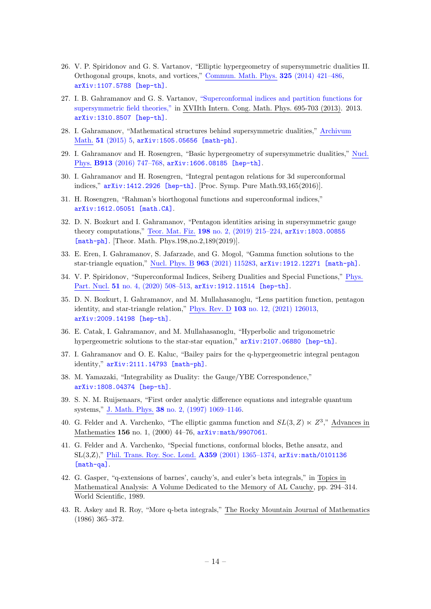- 26. V. P. Spiridonov and G. S. Vartanov, "Elliptic hypergeometry of supersymmetric dualities II. Orthogonal groups, knots, and vortices," Commun. Math. Phys. 325 [\(2014\) 421–486,](http://dx.doi.org/10.1007/s00220-013-1861-4) [arXiv:1107.5788 \[hep-th\]](http://arxiv.org/abs/1107.5788).
- 27. I. B. Gahramanov and G. S. Vartanov, ["Superconformal indices and partition functions for](http://dx.doi.org/10.1142/9789814449243_0076) [supersymmetric field theories,"](http://dx.doi.org/10.1142/9789814449243_0076) in XVIIth Intern. Cong. Math. Phys. 695-703 (2013). 2013. [arXiv:1310.8507 \[hep-th\]](http://arxiv.org/abs/1310.8507).
- <span id="page-14-6"></span>28. I. Gahramanov, "Mathematical structures behind supersymmetric dualities," [Archivum](http://dx.doi.org/10.5817/AM2015-5-273) Math. 51 [\(2015\) 5,](http://dx.doi.org/10.5817/AM2015-5-273) [arXiv:1505.05656 \[math-ph\]](http://arxiv.org/abs/1505.05656).
- <span id="page-14-8"></span>29. I. Gahramanov and H. Rosengren, "Basic hypergeometry of supersymmetric dualities," [Nucl.](http://dx.doi.org/10.1016/j.nuclphysb.2016.10.004) Phys. B913 [\(2016\) 747–768,](http://dx.doi.org/10.1016/j.nuclphysb.2016.10.004) [arXiv:1606.08185 \[hep-th\]](http://arxiv.org/abs/1606.08185).
- 30. I. Gahramanov and H. Rosengren, "Integral pentagon relations for 3d superconformal indices," [arXiv:1412.2926 \[hep-th\]](http://arxiv.org/abs/1412.2926). [Proc. Symp. Pure Math.93,165(2016)].
- 31. H. Rosengren, "Rahman's biorthogonal functions and superconformal indices," [arXiv:1612.05051 \[math.CA\]](http://arxiv.org/abs/1612.05051).
- 32. D. N. Bozkurt and I. Gahramanov, "Pentagon identities arising in supersymmetric gauge theory computations," Teor. Mat. Fiz. 198 [no. 2, \(2019\) 215–224,](http://dx.doi.org/10.1134/S0040577919020028) [arXiv:1803.00855](http://arxiv.org/abs/1803.00855) [\[math-ph\]](http://arxiv.org/abs/1803.00855). [Theor. Math. Phys.198,no.2,189(2019)].
- 33. E. Eren, I. Gahramanov, S. Jafarzade, and G. Mogol, "Gamma function solutions to the star-triangle equation," Nucl. Phys. B 963 [\(2021\) 115283,](http://dx.doi.org/10.1016/j.nuclphysb.2020.115283) [arXiv:1912.12271 \[math-ph\]](http://arxiv.org/abs/1912.12271).
- <span id="page-14-7"></span>34. V. P. Spiridonov, "Superconformal Indices, Seiberg Dualities and Special Functions," [Phys.](http://dx.doi.org/10.1134/S1063779620040681) Part. Nucl. 51 no. 4, (2020) 508-513, [arXiv:1912.11514 \[hep-th\]](http://arxiv.org/abs/1912.11514).
- 35. D. N. Bozkurt, I. Gahramanov, and M. Mullahasanoglu, "Lens partition function, pentagon identity, and star-triangle relation," Phys. Rev. D 103 [no. 12, \(2021\) 126013,](http://dx.doi.org/10.1103/PhysRevD.103.126013) [arXiv:2009.14198 \[hep-th\]](http://arxiv.org/abs/2009.14198).
- 36. E. Catak, I. Gahramanov, and M. Mullahasanoglu, "Hyperbolic and trigonometric hypergeometric solutions to the star-star equation," [arXiv:2107.06880 \[hep-th\]](http://arxiv.org/abs/2107.06880).
- <span id="page-14-0"></span>37. I. Gahramanov and O. E. Kaluc, "Bailey pairs for the q-hypergeometric integral pentagon identity," [arXiv:2111.14793 \[math-ph\]](http://arxiv.org/abs/2111.14793).
- <span id="page-14-1"></span>38. M. Yamazaki, "Integrability as Duality: the Gauge/YBE Correspondence," [arXiv:1808.04374 \[hep-th\]](http://arxiv.org/abs/1808.04374).
- <span id="page-14-2"></span>39. S. N. M. Ruijsenaars, "First order analytic difference equations and integrable quantum systems," J. Math. Phys. 38 [no. 2, \(1997\) 1069–1146.](http://dx.doi.org/10.1063/1.531809)
- <span id="page-14-3"></span>40. G. Felder and A. Varchenko, "The elliptic gamma function and  $SL(3, Z) \ltimes Z^3$ ," Advances in Mathematics 156 no. 1, (2000) 44-76,  $arXiv:math/9907061$ .
- <span id="page-14-4"></span>41. G. Felder and A. Varchenko, "Special functions, conformal blocks, Bethe ansatz, and SL(3,Z)," Phil. Trans. Roy. Soc. Lond. A359 [\(2001\) 1365–1374,](http://dx.doi.org/10.1098/rsta.2001.0839) [arXiv:math/0101136](http://arxiv.org/abs/math/0101136) [\[math-qa\]](http://arxiv.org/abs/math/0101136).
- <span id="page-14-5"></span>42. G. Gasper, "q-extensions of barnes', cauchy's, and euler's beta integrals," in Topics in Mathematical Analysis: A Volume Dedicated to the Memory of AL Cauchy, pp. 294–314. World Scientific, 1989.
- 43. R. Askey and R. Roy, "More q-beta integrals," The Rocky Mountain Journal of Mathematics (1986) 365–372.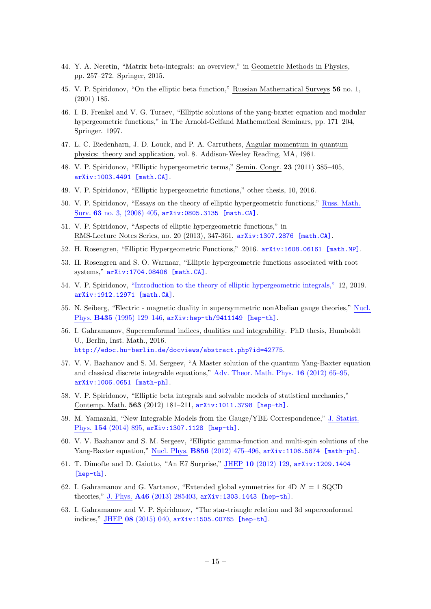- <span id="page-15-1"></span>44. Y. A. Neretin, "Matrix beta-integrals: an overview," in Geometric Methods in Physics, pp. 257–272. Springer, 2015.
- <span id="page-15-0"></span>45. V. P. Spiridonov, "On the elliptic beta function," Russian Mathematical Surveys 56 no. 1, (2001) 185.
- <span id="page-15-2"></span>46. I. B. Frenkel and V. G. Turaev, "Elliptic solutions of the yang-baxter equation and modular hypergeometric functions," in The Arnold-Gelfand Mathematical Seminars, pp. 171–204, Springer. 1997.
- <span id="page-15-3"></span>47. L. C. Biedenharn, J. D. Louck, and P. A. Carruthers, Angular momentum in quantum physics: theory and application, vol. 8. Addison-Wesley Reading, MA, 1981.
- <span id="page-15-4"></span>48. V. P. Spiridonov, "Elliptic hypergeometric terms," Semin. Congr. 23 (2011) 385–405, [arXiv:1003.4491 \[math.CA\]](http://arxiv.org/abs/1003.4491).
- <span id="page-15-5"></span>49. V. P. Spiridonov, "Elliptic hypergeometric functions," other thesis, 10, 2016.
- <span id="page-15-6"></span>50. V. P. Spiridonov, "Essays on the theory of elliptic hypergeometric functions," Russ. [Math.](http://dx.doi.org/10.1070/RM2008v063n03ABEH004533) Surv. 63 [no. 3, \(2008\) 405,](http://dx.doi.org/10.1070/RM2008v063n03ABEH004533) [arXiv:0805.3135 \[math.CA\]](http://arxiv.org/abs/0805.3135).
- 51. V. P. Spiridonov, "Aspects of elliptic hypergeometric functions," in RMS-Lecture Notes Series, no. 20 (2013), 347-361. [arXiv:1307.2876 \[math.CA\]](http://arxiv.org/abs/1307.2876).
- 52. H. Rosengren, "Elliptic Hypergeometric Functions," 2016. [arXiv:1608.06161 \[math.MP\]](http://arxiv.org/abs/1608.06161).
- 53. H. Rosengren and S. O. Warnaar, "Elliptic hypergeometric functions associated with root systems," [arXiv:1704.08406 \[math.CA\]](http://arxiv.org/abs/1704.08406).
- <span id="page-15-7"></span>54. V. P. Spiridonov, ["Introduction to the theory of elliptic hypergeometric integrals,"](http://dx.doi.org/10.1007/978-3-030-42400-8) 12, 2019. [arXiv:1912.12971 \[math.CA\]](http://arxiv.org/abs/1912.12971).
- <span id="page-15-8"></span>55. N. Seiberg, "Electric - magnetic duality in supersymmetric nonAbelian gauge theories," [Nucl.](http://dx.doi.org/10.1016/0550-3213(94)00023-8) Phys. B435 [\(1995\) 129–146,](http://dx.doi.org/10.1016/0550-3213(94)00023-8) [arXiv:hep-th/9411149 \[hep-th\]](http://arxiv.org/abs/hep-th/9411149).
- <span id="page-15-9"></span>56. I. Gahramanov, Superconformal indices, dualities and integrability. PhD thesis, Humboldt U., Berlin, Inst. Math., 2016. <http://edoc.hu-berlin.de/docviews/abstract.php?id=42775>.
- <span id="page-15-10"></span>57. V. V. Bazhanov and S. M. Sergeev, "A Master solution of the quantum Yang-Baxter equation and classical discrete integrable equations," Adv. Theor. Math. Phys. 16 [\(2012\) 65–95,](http://dx.doi.org/10.4310/ATMP.2012.v16.n1.a3) [arXiv:1006.0651 \[math-ph\]](http://arxiv.org/abs/1006.0651).
- <span id="page-15-11"></span>58. V. P. Spiridonov, "Elliptic beta integrals and solvable models of statistical mechanics," Contemp. Math. 563 (2012) 181–211, [arXiv:1011.3798 \[hep-th\]](http://arxiv.org/abs/1011.3798).
- <span id="page-15-12"></span>59. M. Yamazaki, "New Integrable Models from the Gauge/YBE Correspondence," J. [Statist.](http://dx.doi.org/10.1007/s10955-013-0884-8) Phys. 154 [\(2014\) 895,](http://dx.doi.org/10.1007/s10955-013-0884-8) [arXiv:1307.1128 \[hep-th\]](http://arxiv.org/abs/1307.1128).
- <span id="page-15-13"></span>60. V. V. Bazhanov and S. M. Sergeev, "Elliptic gamma-function and multi-spin solutions of the Yang-Baxter equation," Nucl. Phys. B856 [\(2012\) 475–496,](http://dx.doi.org/10.1016/j.nuclphysb.2011.10.032) [arXiv:1106.5874 \[math-ph\]](http://arxiv.org/abs/1106.5874).
- <span id="page-15-14"></span>61. T. Dimofte and D. Gaiotto, "An E7 Surprise," JHEP 10 [\(2012\) 129,](http://dx.doi.org/10.1007/JHEP10(2012)129) [arXiv:1209.1404](http://arxiv.org/abs/1209.1404) [\[hep-th\]](http://arxiv.org/abs/1209.1404).
- <span id="page-15-15"></span>62. I. Gahramanov and G. Vartanov, "Extended global symmetries for  $4D N = 1$  SQCD theories," J. Phys. A46 [\(2013\) 285403,](http://dx.doi.org/10.1088/1751-8113/46/28/285403) [arXiv:1303.1443 \[hep-th\]](http://arxiv.org/abs/1303.1443).
- <span id="page-15-16"></span>63. I. Gahramanov and V. P. Spiridonov, "The star-triangle relation and 3d superconformal indices," JHEP 08 [\(2015\) 040,](http://dx.doi.org/10.1007/JHEP08(2015)040) [arXiv:1505.00765 \[hep-th\]](http://arxiv.org/abs/1505.00765).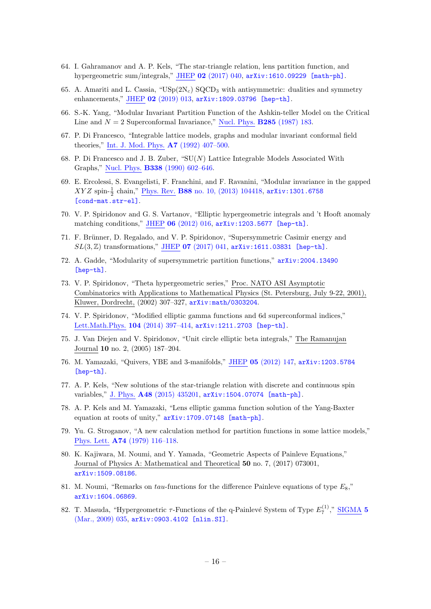- <span id="page-16-14"></span>64. I. Gahramanov and A. P. Kels, "The star-triangle relation, lens partition function, and hypergeometric sum/integrals," JHEP 02 [\(2017\) 040,](http://dx.doi.org/10.1007/JHEP02(2017)040) [arXiv:1610.09229 \[math-ph\]](http://arxiv.org/abs/1610.09229).
- <span id="page-16-0"></span>65. A. Amariti and L. Cassia, " $\text{USp}(2N_c)$  SQCD<sub>3</sub> with antisymmetric: dualities and symmetry enhancements," JHEP 02 [\(2019\) 013,](http://dx.doi.org/10.1007/JHEP02(2019)013) [arXiv:1809.03796 \[hep-th\]](http://arxiv.org/abs/1809.03796).
- <span id="page-16-1"></span>66. S.-K. Yang, "Modular Invariant Partition Function of the Ashkin-teller Model on the Critical Line and  $N = 2$  Superconformal Invariance," Nucl. Phys. **B285** [\(1987\) 183.](http://dx.doi.org/10.1016/0550-3213(87)90334-8)
- 67. P. Di Francesco, "Integrable lattice models, graphs and modular invariant conformal field theories," Int. J. Mod. Phys. A7 [\(1992\) 407–500.](http://dx.doi.org/10.1142/S0217751X92000223)
- 68. P. Di Francesco and J. B. Zuber, " $SU(N)$  Lattice Integrable Models Associated With Graphs," Nucl. Phys. B338 [\(1990\) 602–646.](http://dx.doi.org/10.1016/0550-3213(90)90645-T)
- <span id="page-16-2"></span>69. E. Ercolessi, S. Evangelisti, F. Franchini, and F. Ravanini, "Modular invariance in the gapped  $XYZ$  spin- $\frac{1}{2}$  chain," <u>Phys. Rev.</u> B88 [no. 10, \(2013\) 104418,](http://dx.doi.org/10.1103/PhysRevB.88.104418) [arXiv:1301.6758](http://arxiv.org/abs/1301.6758) [\[cond-mat.str-el\]](http://arxiv.org/abs/1301.6758).
- <span id="page-16-3"></span>70. V. P. Spiridonov and G. S. Vartanov, "Elliptic hypergeometric integrals and 't Hooft anomaly matching conditions," JHEP 06 [\(2012\) 016,](http://dx.doi.org/10.1007/JHEP06(2012)016) [arXiv:1203.5677 \[hep-th\]](http://arxiv.org/abs/1203.5677).
- 71. F. Brünner, D. Regalado, and V. P. Spiridonov, "Supersymmetric Casimir energy and  $SL(3, \mathbb{Z})$  transformations," JHEP 07 [\(2017\) 041,](http://dx.doi.org/10.1007/JHEP07(2017)041)  $arXiv:1611.03831$  [hep-th].
- <span id="page-16-4"></span>72. A. Gadde, "Modularity of supersymmetric partition functions," [arXiv:2004.13490](http://arxiv.org/abs/2004.13490) [\[hep-th\]](http://arxiv.org/abs/2004.13490).
- <span id="page-16-5"></span>73. V. P. Spiridonov, "Theta hypergeometric series," Proc. NATO ASI Asymptotic Combinatorics with Applications to Mathematical Physics (St. Petersburg, July 9-22, 2001), Kluwer, Dordrecht, (2002) 307–327, [arXiv:math/0303204](http://arxiv.org/abs/math/0303204).
- <span id="page-16-6"></span>74. V. P. Spiridonov, "Modified elliptic gamma functions and 6d superconformal indices," [Lett.Math.Phys.](http://dx.doi.org/10.1007/s11005-013-0678-6) 104 (2014) 397–414, [arXiv:1211.2703 \[hep-th\]](http://arxiv.org/abs/1211.2703).
- <span id="page-16-7"></span>75. J. Van Diejen and V. Spiridonov, "Unit circle elliptic beta integrals," The Ramanujan Journal 10 no. 2, (2005) 187–204.
- <span id="page-16-8"></span>76. M. Yamazaki, "Quivers, YBE and 3-manifolds," JHEP 05 [\(2012\) 147,](http://dx.doi.org/10.1007/JHEP05(2012)147) [arXiv:1203.5784](http://arxiv.org/abs/1203.5784) [\[hep-th\]](http://arxiv.org/abs/1203.5784).
- 77. A. P. Kels, "New solutions of the star-triangle relation with discrete and continuous spin variables," J. Phys. A48 [\(2015\) 435201,](http://dx.doi.org/10.1088/1751-8113/48/43/435201) [arXiv:1504.07074 \[math-ph\]](http://arxiv.org/abs/1504.07074).
- <span id="page-16-9"></span>78. A. P. Kels and M. Yamazaki, "Lens elliptic gamma function solution of the Yang-Baxter equation at roots of unity," [arXiv:1709.07148 \[math-ph\]](http://arxiv.org/abs/1709.07148).
- <span id="page-16-10"></span>79. Yu. G. Stroganov, "A new calculation method for partition functions in some lattice models," Phys. Lett. A74 [\(1979\) 116–118.](http://dx.doi.org/10.1016/0375-9601(79)90601-7)
- <span id="page-16-11"></span>80. K. Kajiwara, M. Noumi, and Y. Yamada, "Geometric Aspects of Painleve Equations," Journal of Physics A: Mathematical and Theoretical 50 no. 7, (2017) 073001, [arXiv:1509.08186](http://arxiv.org/abs/1509.08186).
- <span id="page-16-12"></span>81. M. Noumi, "Remarks on tau-functions for the difference Painleve equations of type  $E_8$ ," [arXiv:1604.06869](http://arxiv.org/abs/1604.06869).
- <span id="page-16-13"></span>82. T. Masuda, "Hypergeometric  $\tau$ -Functions of the q-Painlevé System of Type  $E_7^{(1)}$ ,"  $\overline{\text{SIGMA}}$  $\overline{\text{SIGMA}}$  $\overline{\text{SIGMA}}$  5 [\(Mar., 2009\) 035,](http://dx.doi.org/10.3842/SIGMA.2009.035) [arXiv:0903.4102 \[nlin.SI\]](http://arxiv.org/abs/0903.4102).